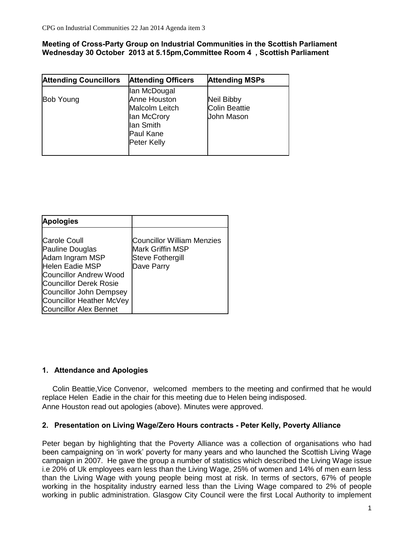**Meeting of Cross-Party Group on lndustrial Communities in the Scottish Parliament Wednesday 30 October 2013 at 5.15pm,Committee Room 4 , Scottish Parliament**

| <b>Attending Councillors</b> | <b>Attending Officers</b>                                                                                     | <b>Attending MSPs</b>                                   |
|------------------------------|---------------------------------------------------------------------------------------------------------------|---------------------------------------------------------|
| <b>Bob Young</b>             | lan McDougal<br>Anne Houston<br>Malcolm Leitch<br>lan McCrory<br>lan Smith<br>Paul Kane<br><b>Peter Kelly</b> | <b>Neil Bibby</b><br><b>Colin Beattie</b><br>John Mason |

| <b>Apologies</b>                                                                                                                                                                                                                              |                                                                                                       |
|-----------------------------------------------------------------------------------------------------------------------------------------------------------------------------------------------------------------------------------------------|-------------------------------------------------------------------------------------------------------|
| <b>Carole Coull</b><br>Pauline Douglas<br>Adam Ingram MSP<br><b>Helen Eadie MSP</b><br><b>Councillor Andrew Wood</b><br><b>Councillor Derek Rosie</b><br>Councillor John Dempsey<br>Councillor Heather McVey<br><b>Councillor Alex Bennet</b> | <b>Councillor William Menzies</b><br><b>Mark Griffin MSP</b><br><b>Steve Fothergill</b><br>Dave Parry |

# **1. Attendance and Apologies**

Colin Beattie,Vice Convenor, welcomed members to the meeting and confirmed that he would replace Helen Eadie in the chair for this meeting due to Helen being indisposed. Anne Houston read out apologies (above). Minutes were approved.

### **2. Presentation on Living Wage/Zero Hours contracts - Peter Kelly, Poverty Alliance**

Peter began by highlighting that the Poverty Alliance was a collection of organisations who had been campaigning on 'in work' poverty for many years and who launched the Scottish Living Wage campaign in 2007. He gave the group a number of statistics which described the Living Wage issue i.e 20% of Uk employees earn less than the Living Wage, 25% of women and 14% of men earn less than the Living Wage with young people being most at risk. In terms of sectors, 67% of people working in the hospitality industry earned less than the Living Wage compared to 2% of people working in public administration. Glasgow City Council were the first Local Authority to implement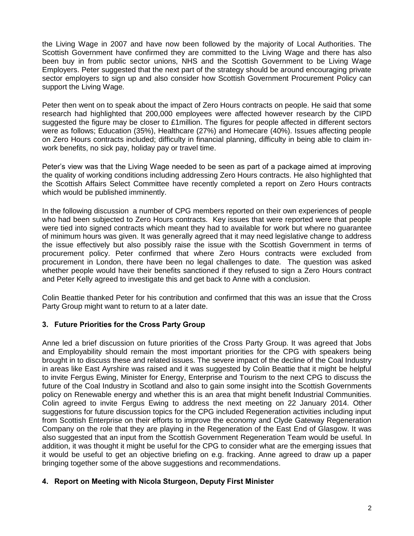the Living Wage in 2007 and have now been followed by the majority of Local Authorities. The Scottish Government have confirmed they are committed to the Living Wage and there has also been buy in from public sector unions, NHS and the Scottish Government to be Living Wage Employers. Peter suggested that the next part of the strategy should be around encouraging private sector employers to sign up and also consider how Scottish Government Procurement Policy can support the Living Wage.

Peter then went on to speak about the impact of Zero Hours contracts on people. He said that some research had highlighted that 200,000 employees were affected however research by the CIPD suggested the figure may be closer to £1million. The figures for people affected in different sectors were as follows; Education (35%), Healthcare (27%) and Homecare (40%). Issues affecting people on Zero Hours contracts included; difficulty in financial planning, difficulty in being able to claim inwork benefits, no sick pay, holiday pay or travel time.

Peter's view was that the Living Wage needed to be seen as part of a package aimed at improving the quality of working conditions including addressing Zero Hours contracts. He also highlighted that the Scottish Affairs Select Committee have recently completed a report on Zero Hours contracts which would be published imminently.

In the following discussion a number of CPG members reported on their own experiences of people who had been subjected to Zero Hours contracts. Key issues that were reported were that people were tied into signed contracts which meant they had to available for work but where no guarantee of minimum hours was given. It was generally agreed that it may need legislative change to address the issue effectively but also possibly raise the issue with the Scottish Government in terms of procurement policy. Peter confirmed that where Zero Hours contracts were excluded from procurement in London, there have been no legal challenges to date. The question was asked whether people would have their benefits sanctioned if they refused to sign a Zero Hours contract and Peter Kelly agreed to investigate this and get back to Anne with a conclusion.

Colin Beattie thanked Peter for his contribution and confirmed that this was an issue that the Cross Party Group might want to return to at a later date.

### **3. Future Priorities for the Cross Party Group**

Anne led a brief discussion on future priorities of the Cross Party Group. It was agreed that Jobs and Employability should remain the most important priorities for the CPG with speakers being brought in to discuss these and related issues. The severe impact of the decline of the Coal Industry in areas like East Ayrshire was raised and it was suggested by Colin Beattie that it might be helpful to invite Fergus Ewing, Minister for Energy, Enterprise and Tourism to the next CPG to discuss the future of the Coal Industry in Scotland and also to gain some insight into the Scottish Governments policy on Renewable energy and whether this is an area that might benefit Industrial Communities. Colin agreed to invite Fergus Ewing to address the next meeting on 22 January 2014. Other suggestions for future discussion topics for the CPG included Regeneration activities including input from Scottish Enterprise on their efforts to improve the economy and Clyde Gateway Regeneration Company on the role that they are playing in the Regeneration of the East End of Glasgow. It was also suggested that an input from the Scottish Government Regeneration Team would be useful. In addition, it was thought it might be useful for the CPG to consider what are the emerging issues that it would be useful to get an objective briefing on e.g. fracking. Anne agreed to draw up a paper bringing together some of the above suggestions and recommendations.

# **4. Report on Meeting with Nicola Sturgeon, Deputy First Minister**